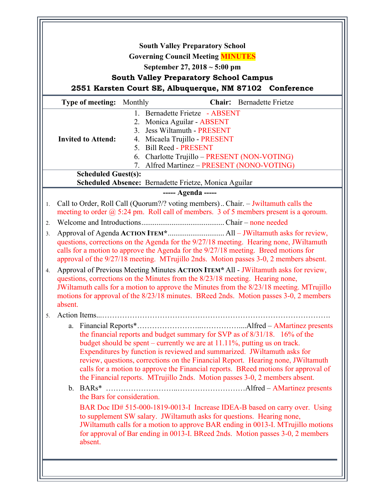|                | <b>South Valley Preparatory School</b>                                                                                                                                                                                                                                                                                                                                                                                                                                                                 |
|----------------|--------------------------------------------------------------------------------------------------------------------------------------------------------------------------------------------------------------------------------------------------------------------------------------------------------------------------------------------------------------------------------------------------------------------------------------------------------------------------------------------------------|
|                | <b>Governing Council Meeting MINUTES</b>                                                                                                                                                                                                                                                                                                                                                                                                                                                               |
|                | September 27, $2018 \sim 5:00 \text{ pm}$                                                                                                                                                                                                                                                                                                                                                                                                                                                              |
|                | <b>South Valley Preparatory School Campus</b>                                                                                                                                                                                                                                                                                                                                                                                                                                                          |
|                | 2551 Karsten Court SE, Albuquerque, NM 87102 Conference                                                                                                                                                                                                                                                                                                                                                                                                                                                |
|                | Type of meeting:<br>Monthly<br><b>Chair:</b> Bernadette Frietze                                                                                                                                                                                                                                                                                                                                                                                                                                        |
|                | 1. Bernadette Frietze - ABSENT                                                                                                                                                                                                                                                                                                                                                                                                                                                                         |
|                | 2. Monica Aguilar - ABSENT<br>3. Jess Wiltamuth - PRESENT                                                                                                                                                                                                                                                                                                                                                                                                                                              |
|                | <b>Invited to Attend:</b><br>4. Micaela Trujillo - PRESENT                                                                                                                                                                                                                                                                                                                                                                                                                                             |
|                | 5. Bill Reed - PRESENT                                                                                                                                                                                                                                                                                                                                                                                                                                                                                 |
|                | 6. Charlotte Trujillo - PRESENT (NON-VOTING)                                                                                                                                                                                                                                                                                                                                                                                                                                                           |
|                | Alfred Martinez - PRESENT (NONO-VOTING)<br>7.                                                                                                                                                                                                                                                                                                                                                                                                                                                          |
|                | <b>Scheduled Guest(s):</b>                                                                                                                                                                                                                                                                                                                                                                                                                                                                             |
|                | Scheduled Absence: Bernadette Frietze, Monica Aguilar                                                                                                                                                                                                                                                                                                                                                                                                                                                  |
|                | ----- Agenda -----                                                                                                                                                                                                                                                                                                                                                                                                                                                                                     |
| 1.             | Call to Order, Roll Call (Quorum?/? voting members) Chair. - Jwiltamuth calls the<br>meeting to order $\omega$ 5:24 pm. Roll call of members. 3 of 5 members present is a goroum.                                                                                                                                                                                                                                                                                                                      |
| 2.             |                                                                                                                                                                                                                                                                                                                                                                                                                                                                                                        |
| 3 <sub>1</sub> | questions, corrections on the Agenda for the 9/27/18 meeting. Hearing none, JWiltamuth<br>calls for a motion to approve the Agenda for the 9/27/18 meeting. Breed motions for<br>approval of the 9/27/18 meeting. MTrujillo 2nds. Motion passes 3-0, 2 members absent.                                                                                                                                                                                                                                 |
| 4.             | Approval of Previous Meeting Minutes ACTION ITEM* All - JWiltamuth asks for review,<br>questions, corrections on the Minutes from the 8/23/18 meeting. Hearing none,<br>JWiltamuth calls for a motion to approve the Minutes from the 8/23/18 meeting. MTrujillo<br>motions for approval of the 8/23/18 minutes. BReed 2nds. Motion passes 3-0, 2 members<br>absent.                                                                                                                                   |
| 5.             |                                                                                                                                                                                                                                                                                                                                                                                                                                                                                                        |
|                | a.<br>the financial reports and budget summary for SVP as of 8/31/18. 16% of the<br>budget should be spent – currently we are at $11.11\%$ , putting us on track.<br>Expenditures by function is reviewed and summarized. JWiltamuth asks for<br>review, questions, corrections on the Financial Report. Hearing none, JWiltamuth<br>calls for a motion to approve the Financial reports. BReed motions for approval of<br>the Financial reports. MTrujillo 2nds. Motion passes 3-0, 2 members absent. |
|                | the Bars for consideration.                                                                                                                                                                                                                                                                                                                                                                                                                                                                            |
|                | BAR Doc ID# 515-000-1819-0013-I Increase IDEA-B based on carry over. Using<br>to supplement SW salary. JWiltamuth asks for questions. Hearing none,<br>JWiltamuth calls for a motion to approve BAR ending in 0013-I. MTrujillo motions<br>for approval of Bar ending in 0013-I. BReed 2nds. Motion passes 3-0, 2 members<br>absent.                                                                                                                                                                   |
|                |                                                                                                                                                                                                                                                                                                                                                                                                                                                                                                        |